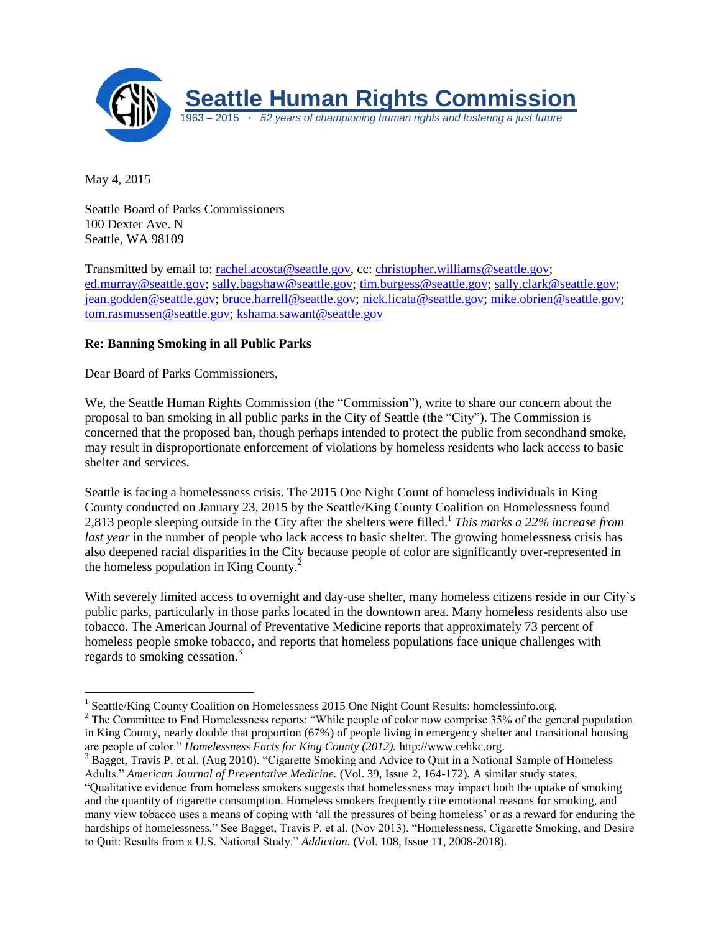

May 4, 2015

Seattle Board of Parks Commissioners 100 Dexter Ave. N Seattle, WA 98109

Transmitted by email to: [rachel.acosta@seattle.gov,](mailto:rachel.acosta@seattle.gov) cc: [christopher.williams@seattle.gov;](mailto:christopher.williams@seattle.gov) [ed.murray@seattle.gov;](mailto:ed.murray@seattle.gov) [sally.bagshaw@seattle.gov;](mailto:sally.bagshaw@seattle.gov) [tim.burgess@seattle.gov;](mailto:tim.burgess@seattle.gov) [sally.clark@seattle.gov;](mailto:sally.clark@seattle.gov) [jean.godden@seattle.gov;](mailto:jean.godden@seattle.gov) [bruce.harrell@seattle.gov;](mailto:bruce.harrell@seattle.gov) [nick.licata@seattle.gov;](mailto:nick.licata@seattle.gov) [mike.obrien@seattle.gov;](mailto:mike.obrien@seattle.gov) [tom.rasmussen@seattle.gov;](mailto:tom.rasmussen@seattle.gov) [kshama.sawant@seattle.gov](file:///C:/Users/Alex/Downloads/kshama.sawant@seattle.gov)

## **Re: Banning Smoking in all Public Parks**

Dear Board of Parks Commissioners,

We, the Seattle Human Rights Commission (the "Commission"), write to share our concern about the proposal to ban smoking in all public parks in the City of Seattle (the "City"). The Commission is concerned that the proposed ban, though perhaps intended to protect the public from secondhand smoke, may result in disproportionate enforcement of violations by homeless residents who lack access to basic shelter and services.

Seattle is facing a homelessness crisis. The 2015 One Night Count of homeless individuals in King County conducted on January 23, 2015 by the Seattle/King County Coalition on Homelessness found 2,813 people sleeping outside in the City after the shelters were filled. 1 *This marks a 22% increase from last year* in the number of people who lack access to basic shelter. The growing homelessness crisis has also deepened racial disparities in the City because people of color are significantly over-represented in the homeless population in King County. $^2$ 

With severely limited access to overnight and day-use shelter, many homeless citizens reside in our City's public parks, particularly in those parks located in the downtown area. Many homeless residents also use tobacco. The American Journal of Preventative Medicine reports that approximately 73 percent of homeless people smoke tobacco, and reports that homeless populations face unique challenges with regards to smoking cessation.<sup>3</sup>

<sup>&</sup>lt;sup>1</sup> Seattle/King County Coalition on Homelessness 2015 One Night Count Results: homelessinfo.org.

<sup>&</sup>lt;sup>2</sup> The Committee to End Homelessness reports: "While people of color now comprise 35% of the general population in King County, nearly double that proportion (67%) of people living in emergency shelter and transitional housing are people of color." *Homelessness Facts for King County (2012).* http://www.cehkc.org.

<sup>&</sup>lt;sup>3</sup> Bagget, Travis P. et al. (Aug 2010). "Cigarette Smoking and Advice to Quit in a National Sample of Homeless Adults." *American Journal of Preventative Medicine.* (Vol. 39, Issue 2, 164-172)*.* A similar study states, "Qualitative evidence from homeless smokers suggests that homelessness may impact both the uptake of smoking and the quantity of cigarette consumption. Homeless smokers frequently cite emotional reasons for smoking, and many view tobacco uses a means of coping with 'all the pressures of being homeless' or as a reward for enduring the hardships of homelessness." See Bagget, Travis P. et al. (Nov 2013). "Homelessness, Cigarette Smoking, and Desire to Quit: Results from a U.S. National Study." *Addiction.* (Vol. 108, Issue 11, 2008-2018).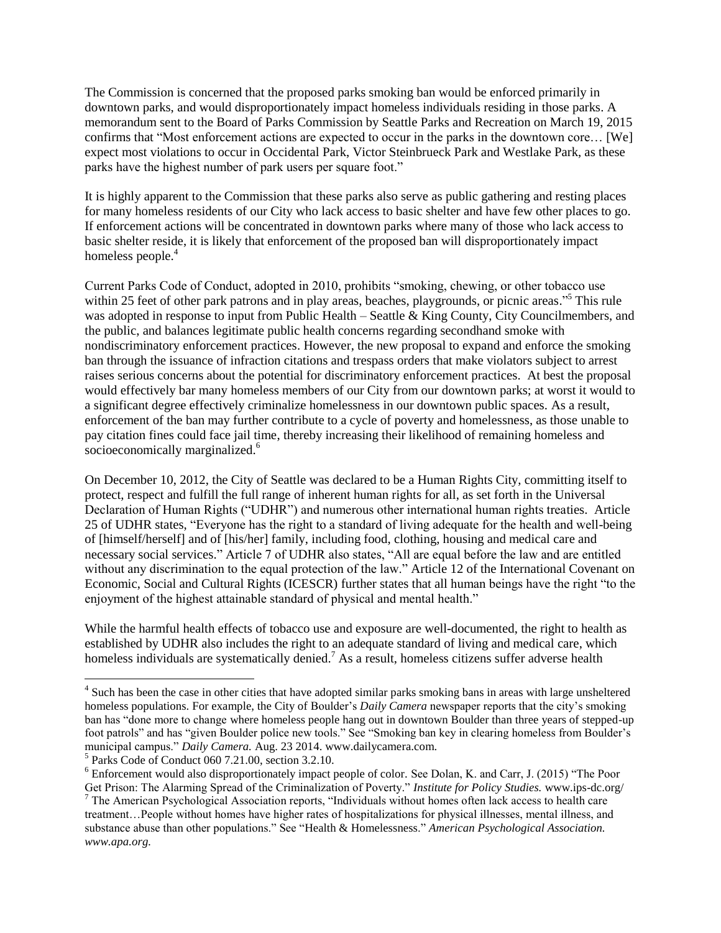The Commission is concerned that the proposed parks smoking ban would be enforced primarily in downtown parks, and would disproportionately impact homeless individuals residing in those parks. A memorandum sent to the Board of Parks Commission by Seattle Parks and Recreation on March 19, 2015 confirms that "Most enforcement actions are expected to occur in the parks in the downtown core… [We] expect most violations to occur in Occidental Park, Victor Steinbrueck Park and Westlake Park, as these parks have the highest number of park users per square foot."

It is highly apparent to the Commission that these parks also serve as public gathering and resting places for many homeless residents of our City who lack access to basic shelter and have few other places to go. If enforcement actions will be concentrated in downtown parks where many of those who lack access to basic shelter reside, it is likely that enforcement of the proposed ban will disproportionately impact homeless people.<sup>4</sup>

Current Parks Code of Conduct, adopted in 2010, prohibits "smoking, chewing, or other tobacco use within 25 feet of other park patrons and in play areas, beaches, playgrounds, or picnic areas."<sup>5</sup> This rule was adopted in response to input from Public Health – Seattle & King County, City Councilmembers, and the public, and balances legitimate public health concerns regarding secondhand smoke with nondiscriminatory enforcement practices. However, the new proposal to expand and enforce the smoking ban through the issuance of infraction citations and trespass orders that make violators subject to arrest raises serious concerns about the potential for discriminatory enforcement practices. At best the proposal would effectively bar many homeless members of our City from our downtown parks; at worst it would to a significant degree effectively criminalize homelessness in our downtown public spaces. As a result, enforcement of the ban may further contribute to a cycle of poverty and homelessness, as those unable to pay citation fines could face jail time, thereby increasing their likelihood of remaining homeless and socioeconomically marginalized.<sup>6</sup>

On December 10, 2012, the City of Seattle was declared to be a Human Rights City, committing itself to protect, respect and fulfill the full range of inherent human rights for all, as set forth in the Universal Declaration of Human Rights ("UDHR") and numerous other international human rights treaties. Article 25 of UDHR states, "Everyone has the right to a standard of living adequate for the health and well-being of [himself/herself] and of [his/her] family, including food, clothing, housing and medical care and necessary social services." Article 7 of UDHR also states, "All are equal before the law and are entitled without any discrimination to the equal protection of the law." Article 12 of the International Covenant on Economic, Social and Cultural Rights (ICESCR) further states that all human beings have the right "to the enjoyment of the highest attainable standard of physical and mental health."

While the harmful health effects of tobacco use and exposure are well-documented, the right to health as established by UDHR also includes the right to an adequate standard of living and medical care, which homeless individuals are systematically denied.<sup>7</sup> As a result, homeless citizens suffer adverse health

 4 Such has been the case in other cities that have adopted similar parks smoking bans in areas with large unsheltered homeless populations. For example, the City of Boulder's *Daily Camera* newspaper reports that the city's smoking ban has "done more to change where homeless people hang out in downtown Boulder than three years of stepped-up foot patrols" and has "given Boulder police new tools." See "Smoking ban key in clearing homeless from Boulder's municipal campus." *Daily Camera.* Aug. 23 2014. www.dailycamera.com.

<sup>5</sup> Parks Code of Conduct 060 7.21.00, section 3.2.10.

<sup>6</sup> Enforcement would also disproportionately impact people of color. See Dolan, K. and Carr, J. (2015) "The Poor Get Prison: The Alarming Spread of the Criminalization of Poverty." *Institute for Policy Studies.* www.ips-dc.org/

<sup>7</sup> The American Psychological Association reports, "Individuals without homes often lack access to health care treatment…People without homes have higher rates of hospitalizations for physical illnesses, mental illness, and substance abuse than other populations." See "Health & Homelessness." *American Psychological Association. www.apa.org.*